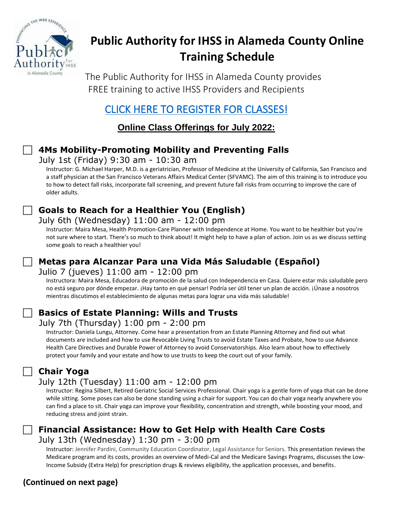

# **Public Authority for IHSS in Alameda County Online Training Schedule**

The Public Authority for IHSS in Alameda County provides FREE training to active IHSS Providers and Recipients

# [CLICK HERE TO REGISTER FOR CLASSES!](https://forms.office.com/g/gp44NfFCUJ)

**Online Class Offerings for July 2022:**

### **4Ms Mobility-Promoting Mobility and Preventing Falls**

July 1st (Friday) 9:30 am - 10:30 am

Instructor: G. Michael Harper, M.D. is a geriatrician, Professor of Medicine at the University of California, San Francisco and a staff physician at the San Francisco Veterans Affairs Medical Center (SFVAMC). The aim of this training is to introduce you to how to detect fall risks, incorporate fall screening, and prevent future fall risks from occurring to improve the care of older adults.

# **Goals to Reach for a Healthier You (English)**

### July 6th (Wednesday) 11:00 am - 12:00 pm

Instructor: Maira Mesa, Health Promotion-Care Planner with Independence at Home. You want to be healthier but you're not sure where to start. There's so much to think about! It might help to have a plan of action. Join us as we discuss setting some goals to reach a healthier you!

## **Metas para Alcanzar Para una Vida Más Saludable (Español)**

### Julio 7 (jueves) 11:00 am - 12:00 pm

Instructora: Maira Mesa, Educadora de promoción de la salud con Independencia en Casa. Quiere estar más saludable pero no está seguro por dónde empezar. ¡Hay tanto en qué pensar! Podría ser útil tener un plan de acción. ¡Únase a nosotros mientras discutimos el establecimiento de algunas metas para lograr una vida más saludable!

### **Basics of Estate Planning: Wills and Trusts**

### July 7th (Thursday) 1:00 pm - 2:00 pm

Instructor: Daniela Lungu, Attorney. Come hear a presentation from an Estate Planning Attorney and find out what documents are included and how to use Revocable Living Trusts to avoid Estate Taxes and Probate, how to use Advance Health Care Directives and Durable Power of Attorney to avoid Conservatorships. Also learn about how to effectively protect your family and your estate and how to use trusts to keep the court out of your family.

# **Chair Yoga**

### July 12th (Tuesday) 11:00 am - 12:00 pm

Instructor: Regina Silbert, Retired Geriatric Social Services Professional. Chair yoga is a gentle form of yoga that can be done while sitting. Some poses can also be done standing using a chair for support. You can do chair yoga nearly anywhere you can find a place to sit. Chair yoga can improve your flexibility, concentration and strength, while boosting your mood, and reducing stress and joint strain.



Instructor: Jennifer Pardini, Community Education Coordinator, Legal Assistance for Seniors. This presentation reviews the Medicare program and its costs, provides an overview of Medi-Cal and the Medicare Savings Programs, discusses the Low-Income Subsidy (Extra Help) for prescription drugs & reviews eligibility, the application processes, and benefits.

### **(Continued on next page)**